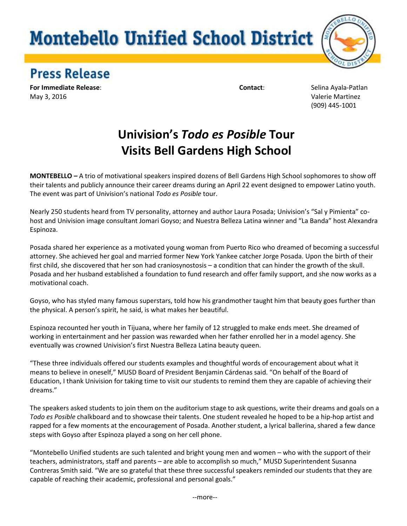## **Montebello Unified School District**



## **Press Release**

**For Immediate Release**: **Contact**: Selina Ayala-Patlan May 3, 2016 Valerie Martinez

(909) 445-1001

## **Univision's** *Todo es Posible* **Tour Visits Bell Gardens High School**

**MONTEBELLO** *–* A trio of motivational speakers inspired dozens of Bell Gardens High School sophomores to show off their talents and publicly announce their career dreams during an April 22 event designed to empower Latino youth. The event was part of Univision's national *Todo es Posible* tour.

Nearly 250 students heard from TV personality, attorney and author Laura Posada; Univision's "Sal y Pimienta" cohost and Univision image consultant Jomari Goyso; and Nuestra Belleza Latina winner and "La Banda" host Alexandra Espinoza.

Posada shared her experience as a motivated young woman from Puerto Rico who dreamed of becoming a successful attorney. She achieved her goal and married former New York Yankee catcher Jorge Posada. Upon the birth of their first child, she discovered that her son had craniosynostosis – a condition that can hinder the growth of the skull. Posada and her husband established a foundation to fund research and offer family support, and she now works as a motivational coach.

Goyso, who has styled many famous superstars, told how his grandmother taught him that beauty goes further than the physical. A person's spirit, he said, is what makes her beautiful.

Espinoza recounted her youth in Tijuana, where her family of 12 struggled to make ends meet. She dreamed of working in entertainment and her passion was rewarded when her father enrolled her in a model agency. She eventually was crowned Univision's first Nuestra Belleza Latina beauty queen.

"These three individuals offered our students examples and thoughtful words of encouragement about what it means to believe in oneself," MUSD Board of President Benjamin Cárdenas said. "On behalf of the Board of Education, I thank Univision for taking time to visit our students to remind them they are capable of achieving their dreams."

The speakers asked students to join them on the auditorium stage to ask questions, write their dreams and goals on a *Todo es Posible* chalkboard and to showcase their talents. One student revealed he hoped to be a hip-hop artist and rapped for a few moments at the encouragement of Posada. Another student, a lyrical ballerina, shared a few dance steps with Goyso after Espinoza played a song on her cell phone.

"Montebello Unified students are such talented and bright young men and women – who with the support of their teachers, administrators, staff and parents – are able to accomplish so much," MUSD Superintendent Susanna Contreras Smith said. "We are so grateful that these three successful speakers reminded our students that they are capable of reaching their academic, professional and personal goals."